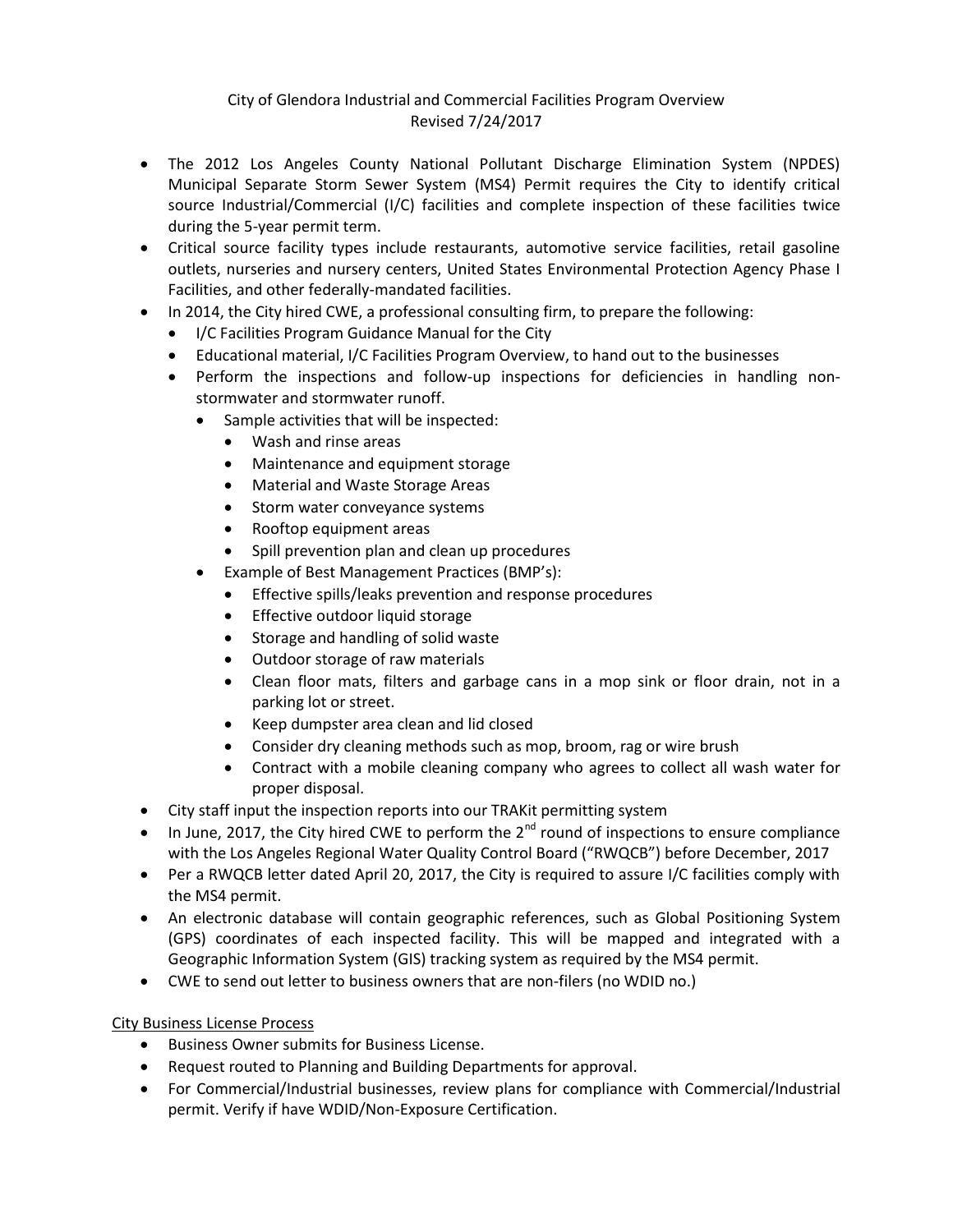## City of Glendora Industrial and Commercial Facilities Program Overview Revised 7/24/2017

- The 2012 Los Angeles County National Pollutant Discharge Elimination System (NPDES) Municipal Separate Storm Sewer System (MS4) Permit requires the City to identify critical source Industrial/Commercial (I/C) facilities and complete inspection of these facilities twice during the 5-year permit term.
- Critical source facility types include restaurants, automotive service facilities, retail gasoline outlets, nurseries and nursery centers, United States Environmental Protection Agency Phase I Facilities, and other federally-mandated facilities.
- In 2014, the City hired CWE, a professional consulting firm, to prepare the following:
	- I/C Facilities Program Guidance Manual for the City
	- Educational material, I/C Facilities Program Overview, to hand out to the businesses
	- Perform the inspections and follow-up inspections for deficiencies in handling nonstormwater and stormwater runoff.
		- Sample activities that will be inspected:
			- Wash and rinse areas
			- Maintenance and equipment storage
			- Material and Waste Storage Areas
			- Storm water conveyance systems
			- Rooftop equipment areas
			- Spill prevention plan and clean up procedures
		- Example of Best Management Practices (BMP's):
			- Effective spills/leaks prevention and response procedures
			- **•** Effective outdoor liquid storage
			- Storage and handling of solid waste
			- Outdoor storage of raw materials
			- Clean floor mats, filters and garbage cans in a mop sink or floor drain, not in a parking lot or street.
			- Keep dumpster area clean and lid closed
			- Consider dry cleaning methods such as mop, broom, rag or wire brush
			- Contract with a mobile cleaning company who agrees to collect all wash water for proper disposal.
- City staff input the inspection reports into our TRAKit permitting system
- In June, 2017, the City hired CWE to perform the  $2^{nd}$  round of inspections to ensure compliance with the Los Angeles Regional Water Quality Control Board ("RWQCB") before December, 2017
- Per a RWQCB letter dated April 20, 2017, the City is required to assure I/C facilities comply with the MS4 permit.
- An electronic database will contain geographic references, such as Global Positioning System (GPS) coordinates of each inspected facility. This will be mapped and integrated with a Geographic Information System (GIS) tracking system as required by the MS4 permit.
- CWE to send out letter to business owners that are non-filers (no WDID no.)

## City Business License Process

- **•** Business Owner submits for Business License.
- Request routed to Planning and Building Departments for approval.
- For Commercial/Industrial businesses, review plans for compliance with Commercial/Industrial permit. Verify if have WDID/Non-Exposure Certification.